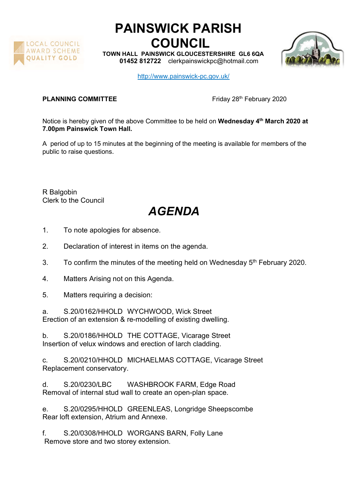

## PAINSWICK PARISH COUNCIL

TOWN HALL PAINSWICK GLOUCESTERSHIRE GL6 6QA 01452 812722 clerkpainswickpc@hotmail.com



http://www.painswick-pc.gov.uk/

## **PLANNING COMMITTEE** Friday 28<sup>th</sup> February 2020

Notice is hereby given of the above Committee to be held on Wednesday 4<sup>th</sup> March 2020 at 7.00pm Painswick Town Hall.

A period of up to 15 minutes at the beginning of the meeting is available for members of the public to raise questions.

R Balgobin Clerk to the Council

## AGENDA

- 1. To note apologies for absence.
- 2. Declaration of interest in items on the agenda.
- 3. To confirm the minutes of the meeting held on Wednesday  $5<sup>th</sup>$  February 2020.
- 4. Matters Arising not on this Agenda.
- 5. Matters requiring a decision:
- a. S.20/0162/HHOLD WYCHWOOD, Wick Street Erection of an extension & re-modelling of existing dwelling.

b. S.20/0186/HHOLD THE COTTAGE, Vicarage Street Insertion of velux windows and erection of larch cladding.

c. S.20/0210/HHOLD MICHAELMAS COTTAGE, Vicarage Street Replacement conservatory.

d. S.20/0230/LBC WASHBROOK FARM, Edge Road Removal of internal stud wall to create an open-plan space.

e. S.20/0295/HHOLD GREENLEAS, Longridge Sheepscombe Rear loft extension, Atrium and Annexe.

f. S.20/0308/HHOLD WORGANS BARN, Folly Lane Remove store and two storey extension.